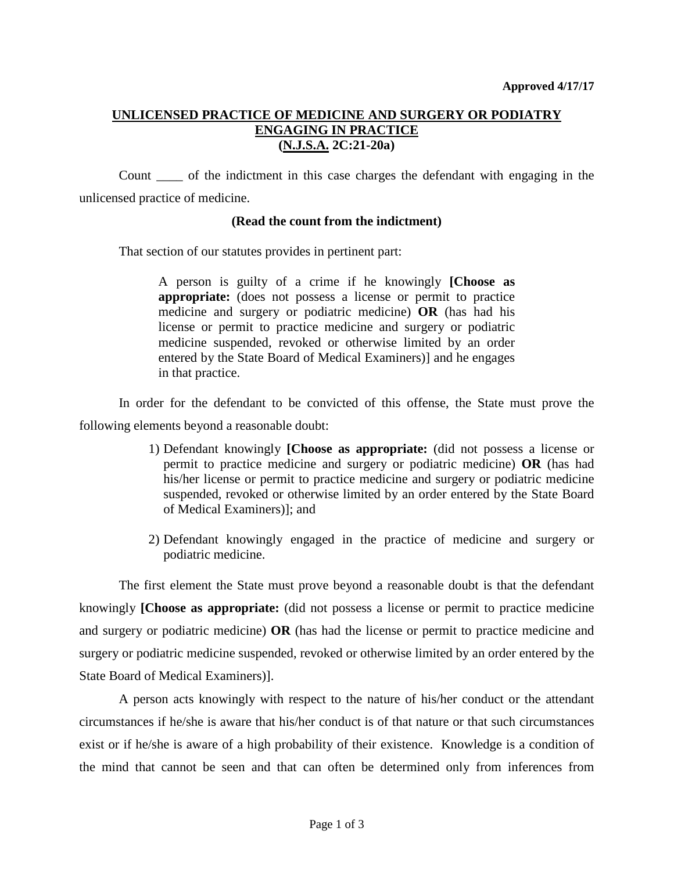## **UNLICENSED PRACTICE OF MEDICINE AND SURGERY OR PODIATRY ENGAGING IN PRACTICE (N.J.S.A. 2C:21-20a)**

Count \_\_\_\_ of the indictment in this case charges the defendant with engaging in the unlicensed practice of medicine.

## **(Read the count from the indictment)**

That section of our statutes provides in pertinent part:

A person is guilty of a crime if he knowingly **[Choose as appropriate:** (does not possess a license or permit to practice medicine and surgery or podiatric medicine) **OR** (has had his license or permit to practice medicine and surgery or podiatric medicine suspended, revoked or otherwise limited by an order entered by the State Board of Medical Examiners)] and he engages in that practice.

In order for the defendant to be convicted of this offense, the State must prove the following elements beyond a reasonable doubt:

- 1) Defendant knowingly **[Choose as appropriate:** (did not possess a license or permit to practice medicine and surgery or podiatric medicine) **OR** (has had his/her license or permit to practice medicine and surgery or podiatric medicine suspended, revoked or otherwise limited by an order entered by the State Board of Medical Examiners)]; and
- 2) Defendant knowingly engaged in the practice of medicine and surgery or podiatric medicine.

The first element the State must prove beyond a reasonable doubt is that the defendant knowingly **[Choose as appropriate:** (did not possess a license or permit to practice medicine and surgery or podiatric medicine) **OR** (has had the license or permit to practice medicine and surgery or podiatric medicine suspended, revoked or otherwise limited by an order entered by the State Board of Medical Examiners)].

A person acts knowingly with respect to the nature of his/her conduct or the attendant circumstances if he/she is aware that his/her conduct is of that nature or that such circumstances exist or if he/she is aware of a high probability of their existence. Knowledge is a condition of the mind that cannot be seen and that can often be determined only from inferences from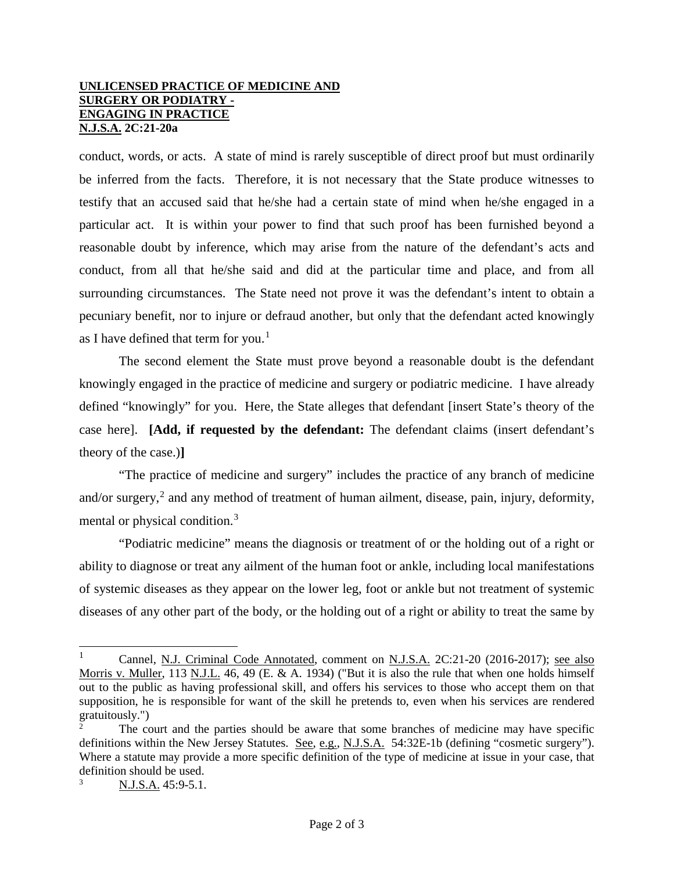## **UNLICENSED PRACTICE OF MEDICINE AND SURGERY OR PODIATRY - ENGAGING IN PRACTICE N.J.S.A. 2C:21-20a**

conduct, words, or acts. A state of mind is rarely susceptible of direct proof but must ordinarily be inferred from the facts. Therefore, it is not necessary that the State produce witnesses to testify that an accused said that he/she had a certain state of mind when he/she engaged in a particular act. It is within your power to find that such proof has been furnished beyond a reasonable doubt by inference, which may arise from the nature of the defendant's acts and conduct, from all that he/she said and did at the particular time and place, and from all surrounding circumstances. The State need not prove it was the defendant's intent to obtain a pecuniary benefit, nor to injure or defraud another, but only that the defendant acted knowingly as I have defined that term for you. $<sup>1</sup>$  $<sup>1</sup>$  $<sup>1</sup>$ </sup>

The second element the State must prove beyond a reasonable doubt is the defendant knowingly engaged in the practice of medicine and surgery or podiatric medicine. I have already defined "knowingly" for you. Here, the State alleges that defendant [insert State's theory of the case here]. **[Add, if requested by the defendant:** The defendant claims (insert defendant's theory of the case.)**]**

"The practice of medicine and surgery" includes the practice of any branch of medicine and/or surgery,<sup>[2](#page-1-1)</sup> and any method of treatment of human ailment, disease, pain, injury, deformity, mental or physical condition.[3](#page-1-2)

"Podiatric medicine" means the diagnosis or treatment of or the holding out of a right or ability to diagnose or treat any ailment of the human foot or ankle, including local manifestations of systemic diseases as they appear on the lower leg, foot or ankle but not treatment of systemic diseases of any other part of the body, or the holding out of a right or ability to treat the same by

<span id="page-1-0"></span><sup>|&</sup>lt;br>|<br>| Cannel, N.J. Criminal Code Annotated, comment on N.J.S.A. 2C:21-20 (2016-2017); see also Morris v. Muller, 113 N.J.L. 46, 49 (E. & A. 1934) ("But it is also the rule that when one holds himself out to the public as having professional skill, and offers his services to those who accept them on that supposition, he is responsible for want of the skill he pretends to, even when his services are rendered gratuitously.")

<span id="page-1-1"></span><sup>2</sup> The court and the parties should be aware that some branches of medicine may have specific definitions within the New Jersey Statutes. See, e.g., N.J.S.A. 54:32E-1b (defining "cosmetic surgery"). Where a statute may provide a more specific definition of the type of medicine at issue in your case, that definition should be used.

<span id="page-1-2"></span><sup>3</sup> N.J.S.A. 45:9-5.1.